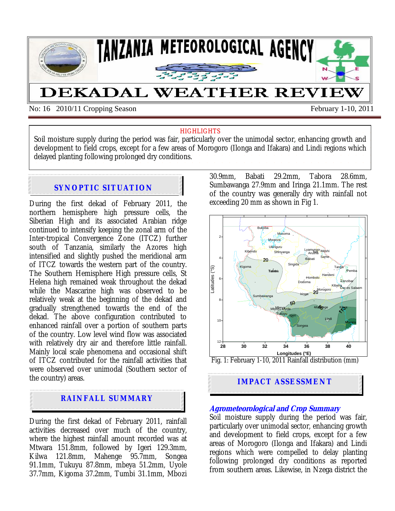

No: 16 2010/11 Cropping Season February 1-10, 2011

#### **HIGHLIGHTS**

Soil moisture supply during the period was fair, particularly over the unimodal sector, enhancing growth and development to field crops, except for a few areas of Morogoro (Ilonga and Ifakara) and Lindi regions which delayed planting following prolonged dry conditions.

# **SYNOPTIC SITUATION**

During the first dekad of February 2011, the northern hemisphere high pressure cells, the Siberian High and its associated Arabian ridge continued to intensify keeping the zonal arm of the Inter-tropical Convergence Zone (ITCZ) further south of Tanzania, similarly the Azores high intensified and slightly pushed the meridional arm of ITCZ towards the western part of the country. The Southern Hemisphere High pressure cells, St Helena high remained weak throughout the dekad while the Mascarine high was observed to be relatively weak at the beginning of the dekad and gradually strengthened towards the end of the dekad. The above configuration contributed to enhanced rainfall over a portion of southern parts of the country. Low level wind flow was associated with relatively dry air and therefore little rainfall. Mainly local scale phenomena and occasional shift of ITCZ contributed for the rainfall activities that were observed over unimodal (Southern sector of the country) areas.

# **RAINFALL SUMMARY**

During the first dekad of February 2011, rainfall activities decreased over much of the country, where the highest rainfall amount recorded was at Mtwara 151.8mm, followed by Igeri 129.3mm, Kilwa 121.8mm, Mahenge 95.7mm, Songea 91.1mm, Tukuyu 87.8mm, mbeya 51.2mm, Uyole 37.7mm, Kigoma 37.2mm, Tumbi 31.1mm, Mbozi 30.9mm, Babati 29.2mm, Tabora 28.6mm, Sumbawanga 27.9mm and Iringa 21.1mm. The rest of the country was generally dry with rainfall not exceeding 20 mm as shown in Fig 1.



## **IMPACT ASSESSMENT**

### **Agrometeorological and Crop Summary**

Soil moisture supply during the period was fair, particularly over unimodal sector, enhancing growth and development to field crops, except for a few areas of Morogoro (Ilonga and Ifakara) and Lindi regions which were compelled to delay planting following prolonged dry conditions as reported from southern areas. Likewise, in Nzega district the